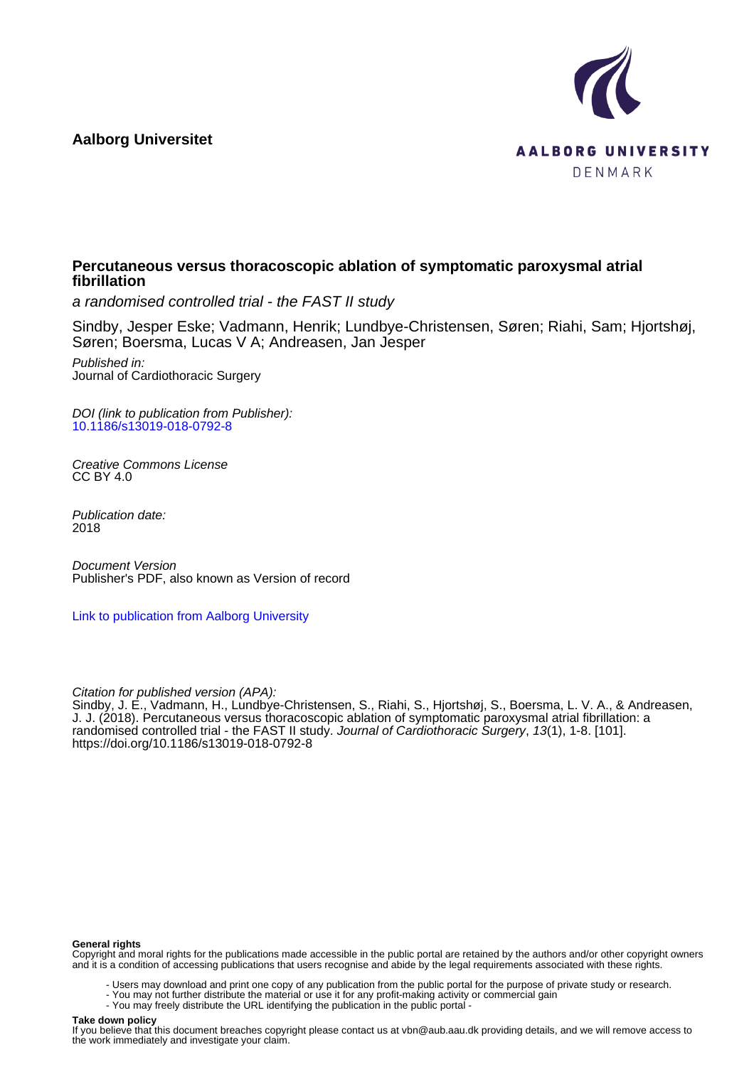**Aalborg Universitet**



# **Percutaneous versus thoracoscopic ablation of symptomatic paroxysmal atrial fibrillation**

a randomised controlled trial - the FAST II study

Sindby, Jesper Eske; Vadmann, Henrik; Lundbye-Christensen, Søren; Riahi, Sam; Hjortshøj, Søren; Boersma, Lucas V A; Andreasen, Jan Jesper

Published in: Journal of Cardiothoracic Surgery

DOI (link to publication from Publisher): [10.1186/s13019-018-0792-8](https://doi.org/10.1186/s13019-018-0792-8)

Creative Commons License CC BY 4.0

Publication date: 2018

Document Version Publisher's PDF, also known as Version of record

[Link to publication from Aalborg University](https://vbn.aau.dk/en/publications/6f39ffb6-4d8b-4d63-8c8d-589ec41e60ee)

Citation for published version (APA):

Sindby, J. E., Vadmann, H., Lundbye-Christensen, S., Riahi, S., Hjortshøj, S., Boersma, L. V. A., & Andreasen, J. J. (2018). Percutaneous versus thoracoscopic ablation of symptomatic paroxysmal atrial fibrillation: a randomised controlled trial - the FAST II study. Journal of Cardiothoracic Surgery, 13(1), 1-8. [101]. <https://doi.org/10.1186/s13019-018-0792-8>

#### **General rights**

Copyright and moral rights for the publications made accessible in the public portal are retained by the authors and/or other copyright owners and it is a condition of accessing publications that users recognise and abide by the legal requirements associated with these rights.

- Users may download and print one copy of any publication from the public portal for the purpose of private study or research.
- You may not further distribute the material or use it for any profit-making activity or commercial gain
- You may freely distribute the URL identifying the publication in the public portal -

# **Take down policy**

If you believe that this document breaches copyright please contact us at vbn@aub.aau.dk providing details, and we will remove access to the work immediately and investigate your claim.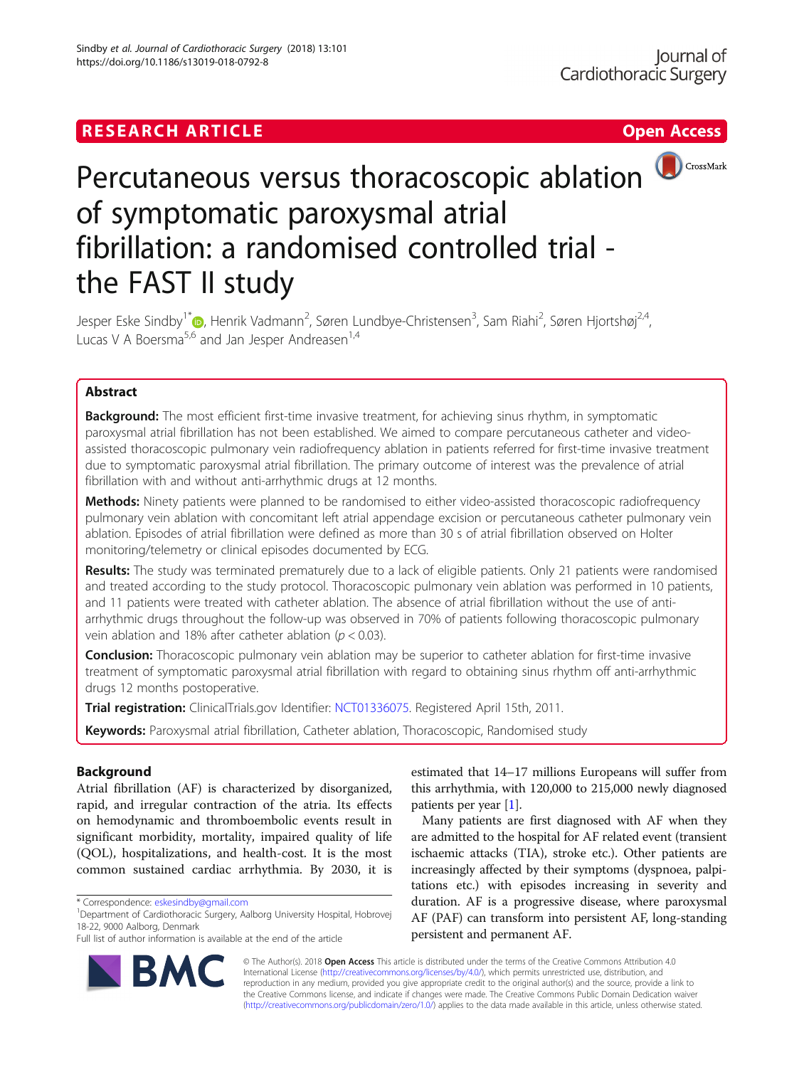# **RESEARCH ARTICLE Example 2018 12:30 The Contract of Contract ACCESS**



# Percutaneous versus thoracoscopic ablation of symptomatic paroxysmal atrial fibrillation: a randomised controlled trial the FAST II study

Jesper Eske Sindby<sup>1[\\*](http://orcid.org/0000-0001-6114-4882)</sup> (D. Henrik Vadmann<sup>2</sup>, Søren Lundbye-Christensen<sup>3</sup>, Sam Riahi<sup>2</sup>, Søren Hjortshøj<sup>2,4</sup>, Lucas V A Boersma<sup>5,6</sup> and Jan Jesper Andreasen<sup>1,4</sup>

# Abstract

**Background:** The most efficient first-time invasive treatment, for achieving sinus rhythm, in symptomatic paroxysmal atrial fibrillation has not been established. We aimed to compare percutaneous catheter and videoassisted thoracoscopic pulmonary vein radiofrequency ablation in patients referred for first-time invasive treatment due to symptomatic paroxysmal atrial fibrillation. The primary outcome of interest was the prevalence of atrial fibrillation with and without anti-arrhythmic drugs at 12 months.

Methods: Ninety patients were planned to be randomised to either video-assisted thoracoscopic radiofrequency pulmonary vein ablation with concomitant left atrial appendage excision or percutaneous catheter pulmonary vein ablation. Episodes of atrial fibrillation were defined as more than 30 s of atrial fibrillation observed on Holter monitoring/telemetry or clinical episodes documented by ECG.

Results: The study was terminated prematurely due to a lack of eligible patients. Only 21 patients were randomised and treated according to the study protocol. Thoracoscopic pulmonary vein ablation was performed in 10 patients, and 11 patients were treated with catheter ablation. The absence of atrial fibrillation without the use of antiarrhythmic drugs throughout the follow-up was observed in 70% of patients following thoracoscopic pulmonary vein ablation and 18% after catheter ablation ( $p < 0.03$ ).

Conclusion: Thoracoscopic pulmonary vein ablation may be superior to catheter ablation for first-time invasive treatment of symptomatic paroxysmal atrial fibrillation with regard to obtaining sinus rhythm off anti-arrhythmic drugs 12 months postoperative.

Trial registration: ClinicalTrials.gov Identifier: [NCT01336075](https://clinicaltrials.gov/ct2/results?cond=&term=+NCT01336075.+&cntry=&state=&city=&dist=). Registered April 15th, 2011.

Keywords: Paroxysmal atrial fibrillation, Catheter ablation, Thoracoscopic, Randomised study

# Background

Atrial fibrillation (AF) is characterized by disorganized, rapid, and irregular contraction of the atria. Its effects on hemodynamic and thromboembolic events result in significant morbidity, mortality, impaired quality of life (QOL), hospitalizations, and health-cost. It is the most common sustained cardiac arrhythmia. By 2030, it is

RA



Many patients are first diagnosed with AF when they are admitted to the hospital for AF related event (transient ischaemic attacks (TIA), stroke etc.). Other patients are increasingly affected by their symptoms (dyspnoea, palpitations etc.) with episodes increasing in severity and duration. AF is a progressive disease, where paroxysmal AF (PAF) can transform into persistent AF, long-standing persistent and permanent AF.

© The Author(s). 2018 Open Access This article is distributed under the terms of the Creative Commons Attribution 4.0 International License [\(http://creativecommons.org/licenses/by/4.0/](http://creativecommons.org/licenses/by/4.0/)), which permits unrestricted use, distribution, and reproduction in any medium, provided you give appropriate credit to the original author(s) and the source, provide a link to the Creative Commons license, and indicate if changes were made. The Creative Commons Public Domain Dedication waiver [\(http://creativecommons.org/publicdomain/zero/1.0/](http://creativecommons.org/publicdomain/zero/1.0/)) applies to the data made available in this article, unless otherwise stated.

<sup>\*</sup> Correspondence: [eskesindby@gmail.com](mailto:eskesindby@gmail.com) <sup>1</sup>

Department of Cardiothoracic Surgery, Aalborg University Hospital, Hobrovej 18-22, 9000 Aalborg, Denmark

Full list of author information is available at the end of the article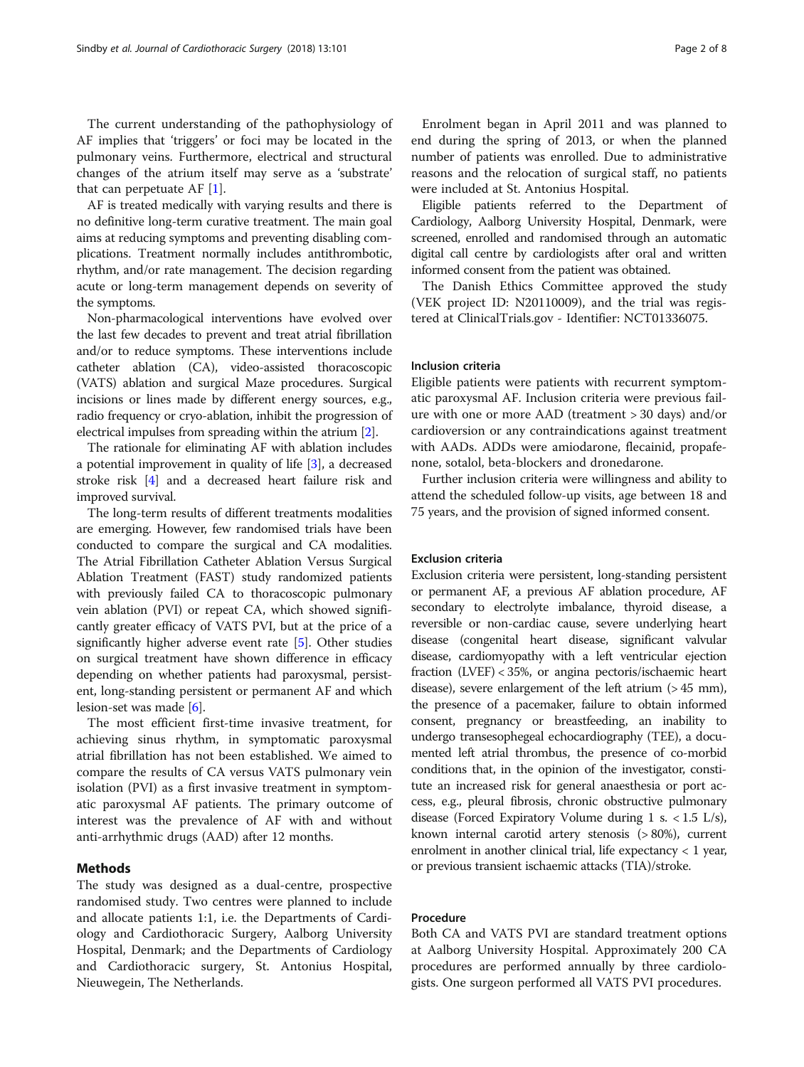The current understanding of the pathophysiology of AF implies that 'triggers' or foci may be located in the pulmonary veins. Furthermore, electrical and structural changes of the atrium itself may serve as a 'substrate' that can perpetuate AF  $[1]$  $[1]$ .

AF is treated medically with varying results and there is no definitive long-term curative treatment. The main goal aims at reducing symptoms and preventing disabling complications. Treatment normally includes antithrombotic, rhythm, and/or rate management. The decision regarding acute or long-term management depends on severity of the symptoms.

Non-pharmacological interventions have evolved over the last few decades to prevent and treat atrial fibrillation and/or to reduce symptoms. These interventions include catheter ablation (CA), video-assisted thoracoscopic (VATS) ablation and surgical Maze procedures. Surgical incisions or lines made by different energy sources, e.g., radio frequency or cryo-ablation, inhibit the progression of electrical impulses from spreading within the atrium [\[2](#page-8-0)].

The rationale for eliminating AF with ablation includes a potential improvement in quality of life [\[3](#page-8-0)], a decreased stroke risk [\[4\]](#page-8-0) and a decreased heart failure risk and improved survival.

The long-term results of different treatments modalities are emerging. However, few randomised trials have been conducted to compare the surgical and CA modalities. The Atrial Fibrillation Catheter Ablation Versus Surgical Ablation Treatment (FAST) study randomized patients with previously failed CA to thoracoscopic pulmonary vein ablation (PVI) or repeat CA, which showed significantly greater efficacy of VATS PVI, but at the price of a significantly higher adverse event rate [[5](#page-8-0)]. Other studies on surgical treatment have shown difference in efficacy depending on whether patients had paroxysmal, persistent, long-standing persistent or permanent AF and which lesion-set was made [\[6](#page-8-0)].

The most efficient first-time invasive treatment, for achieving sinus rhythm, in symptomatic paroxysmal atrial fibrillation has not been established. We aimed to compare the results of CA versus VATS pulmonary vein isolation (PVI) as a first invasive treatment in symptomatic paroxysmal AF patients. The primary outcome of interest was the prevalence of AF with and without anti-arrhythmic drugs (AAD) after 12 months.

# Methods

The study was designed as a dual-centre, prospective randomised study. Two centres were planned to include and allocate patients 1:1, i.e. the Departments of Cardiology and Cardiothoracic Surgery, Aalborg University Hospital, Denmark; and the Departments of Cardiology and Cardiothoracic surgery, St. Antonius Hospital, Nieuwegein, The Netherlands.

Enrolment began in April 2011 and was planned to end during the spring of 2013, or when the planned number of patients was enrolled. Due to administrative reasons and the relocation of surgical staff, no patients were included at St. Antonius Hospital.

Eligible patients referred to the Department of Cardiology, Aalborg University Hospital, Denmark, were screened, enrolled and randomised through an automatic digital call centre by cardiologists after oral and written informed consent from the patient was obtained.

The Danish Ethics Committee approved the study (VEK project ID: N20110009), and the trial was registered at ClinicalTrials.gov - Identifier: NCT01336075.

# Inclusion criteria

Eligible patients were patients with recurrent symptomatic paroxysmal AF. Inclusion criteria were previous failure with one or more AAD (treatment > 30 days) and/or cardioversion or any contraindications against treatment with AADs. ADDs were amiodarone, flecainid, propafenone, sotalol, beta-blockers and dronedarone.

Further inclusion criteria were willingness and ability to attend the scheduled follow-up visits, age between 18 and 75 years, and the provision of signed informed consent.

# Exclusion criteria

Exclusion criteria were persistent, long-standing persistent or permanent AF, a previous AF ablation procedure, AF secondary to electrolyte imbalance, thyroid disease, a reversible or non-cardiac cause, severe underlying heart disease (congenital heart disease, significant valvular disease, cardiomyopathy with a left ventricular ejection fraction (LVEF) < 35%, or angina pectoris/ischaemic heart disease), severe enlargement of the left atrium (> 45 mm), the presence of a pacemaker, failure to obtain informed consent, pregnancy or breastfeeding, an inability to undergo transesophegeal echocardiography (TEE), a documented left atrial thrombus, the presence of co-morbid conditions that, in the opinion of the investigator, constitute an increased risk for general anaesthesia or port access, e.g., pleural fibrosis, chronic obstructive pulmonary disease (Forced Expiratory Volume during 1 s. < 1.5 L/s), known internal carotid artery stenosis (> 80%), current enrolment in another clinical trial, life expectancy < 1 year, or previous transient ischaemic attacks (TIA)/stroke.

# Procedure

Both CA and VATS PVI are standard treatment options at Aalborg University Hospital. Approximately 200 CA procedures are performed annually by three cardiologists. One surgeon performed all VATS PVI procedures.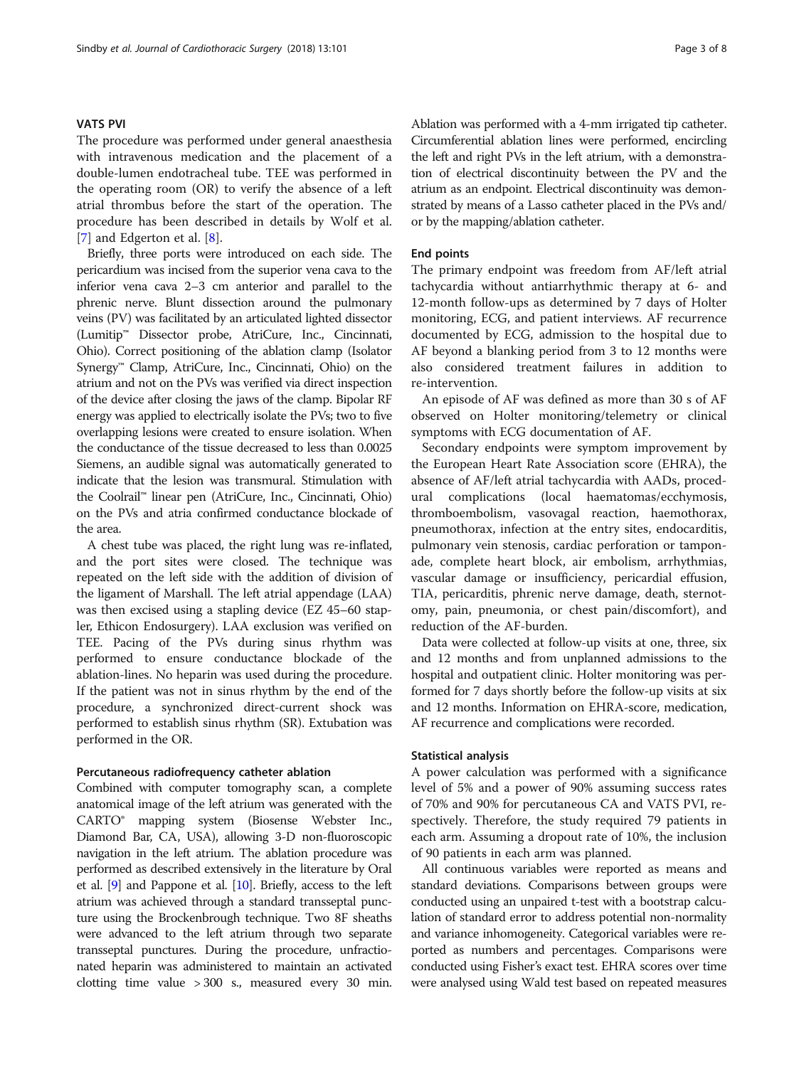#### VATS PVI

The procedure was performed under general anaesthesia with intravenous medication and the placement of a double-lumen endotracheal tube. TEE was performed in the operating room (OR) to verify the absence of a left atrial thrombus before the start of the operation. The procedure has been described in details by Wolf et al. [[7\]](#page-8-0) and Edgerton et al. [[8\]](#page-8-0).

Briefly, three ports were introduced on each side. The pericardium was incised from the superior vena cava to the inferior vena cava 2–3 cm anterior and parallel to the phrenic nerve. Blunt dissection around the pulmonary veins (PV) was facilitated by an articulated lighted dissector (Lumitip™ Dissector probe, AtriCure, Inc., Cincinnati, Ohio). Correct positioning of the ablation clamp (Isolator Synergy™ Clamp, AtriCure, Inc., Cincinnati, Ohio) on the atrium and not on the PVs was verified via direct inspection of the device after closing the jaws of the clamp. Bipolar RF energy was applied to electrically isolate the PVs; two to five overlapping lesions were created to ensure isolation. When the conductance of the tissue decreased to less than 0.0025 Siemens, an audible signal was automatically generated to indicate that the lesion was transmural. Stimulation with the Coolrail™ linear pen (AtriCure, Inc., Cincinnati, Ohio) on the PVs and atria confirmed conductance blockade of the area.

A chest tube was placed, the right lung was re-inflated, and the port sites were closed. The technique was repeated on the left side with the addition of division of the ligament of Marshall. The left atrial appendage (LAA) was then excised using a stapling device (EZ 45–60 stapler, Ethicon Endosurgery). LAA exclusion was verified on TEE. Pacing of the PVs during sinus rhythm was performed to ensure conductance blockade of the ablation-lines. No heparin was used during the procedure. If the patient was not in sinus rhythm by the end of the procedure, a synchronized direct-current shock was performed to establish sinus rhythm (SR). Extubation was performed in the OR.

#### Percutaneous radiofrequency catheter ablation

Combined with computer tomography scan, a complete anatomical image of the left atrium was generated with the CARTO® mapping system (Biosense Webster Inc., Diamond Bar, CA, USA), allowing 3-D non-fluoroscopic navigation in the left atrium. The ablation procedure was performed as described extensively in the literature by Oral et al. [\[9](#page-8-0)] and Pappone et al. [\[10](#page-8-0)]. Briefly, access to the left atrium was achieved through a standard transseptal puncture using the Brockenbrough technique. Two 8F sheaths were advanced to the left atrium through two separate transseptal punctures. During the procedure, unfractionated heparin was administered to maintain an activated clotting time value > 300 s., measured every 30 min. Ablation was performed with a 4-mm irrigated tip catheter. Circumferential ablation lines were performed, encircling the left and right PVs in the left atrium, with a demonstration of electrical discontinuity between the PV and the atrium as an endpoint. Electrical discontinuity was demonstrated by means of a Lasso catheter placed in the PVs and/ or by the mapping/ablation catheter.

#### End points

The primary endpoint was freedom from AF/left atrial tachycardia without antiarrhythmic therapy at 6- and 12-month follow-ups as determined by 7 days of Holter monitoring, ECG, and patient interviews. AF recurrence documented by ECG, admission to the hospital due to AF beyond a blanking period from 3 to 12 months were also considered treatment failures in addition to re-intervention.

An episode of AF was defined as more than 30 s of AF observed on Holter monitoring/telemetry or clinical symptoms with ECG documentation of AF.

Secondary endpoints were symptom improvement by the European Heart Rate Association score (EHRA), the absence of AF/left atrial tachycardia with AADs, procedural complications (local haematomas/ecchymosis, thromboembolism, vasovagal reaction, haemothorax, pneumothorax, infection at the entry sites, endocarditis, pulmonary vein stenosis, cardiac perforation or tamponade, complete heart block, air embolism, arrhythmias, vascular damage or insufficiency, pericardial effusion, TIA, pericarditis, phrenic nerve damage, death, sternotomy, pain, pneumonia, or chest pain/discomfort), and reduction of the AF-burden.

Data were collected at follow-up visits at one, three, six and 12 months and from unplanned admissions to the hospital and outpatient clinic. Holter monitoring was performed for 7 days shortly before the follow-up visits at six and 12 months. Information on EHRA-score, medication, AF recurrence and complications were recorded.

#### Statistical analysis

A power calculation was performed with a significance level of 5% and a power of 90% assuming success rates of 70% and 90% for percutaneous CA and VATS PVI, respectively. Therefore, the study required 79 patients in each arm. Assuming a dropout rate of 10%, the inclusion of 90 patients in each arm was planned.

All continuous variables were reported as means and standard deviations. Comparisons between groups were conducted using an unpaired t-test with a bootstrap calculation of standard error to address potential non-normality and variance inhomogeneity. Categorical variables were reported as numbers and percentages. Comparisons were conducted using Fisher's exact test. EHRA scores over time were analysed using Wald test based on repeated measures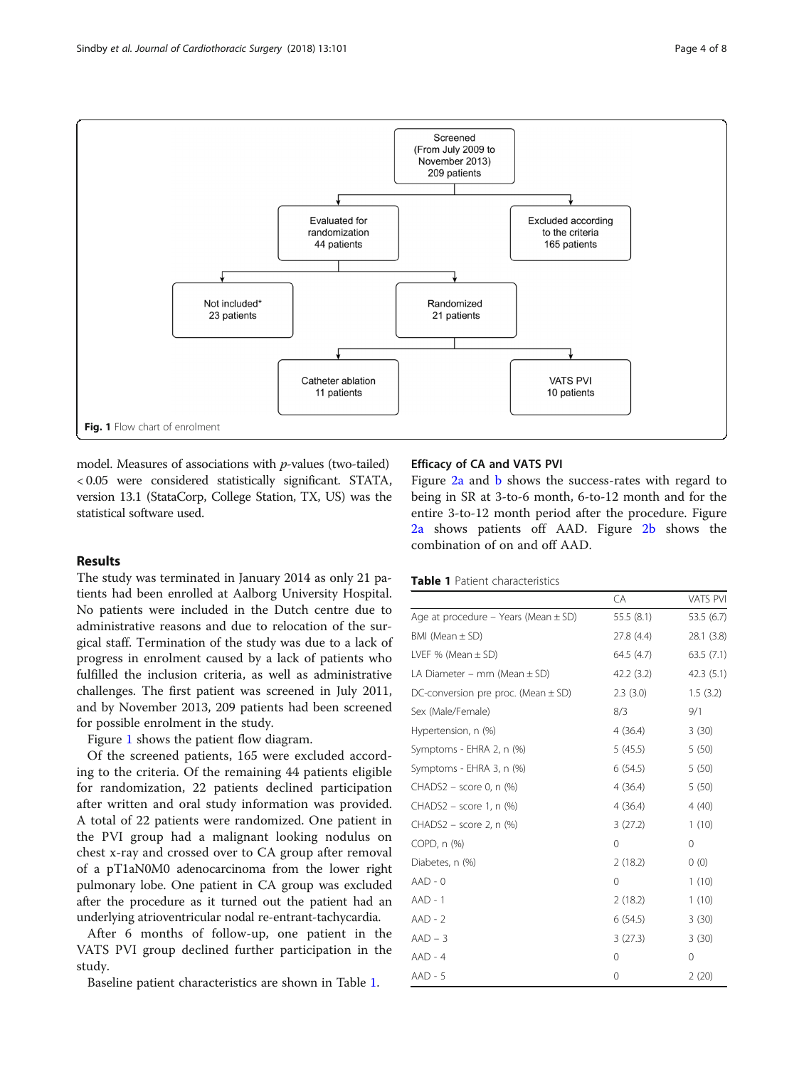

model. Measures of associations with  $p$ -values (two-tailed) < 0.05 were considered statistically significant. STATA, version 13.1 (StataCorp, College Station, TX, US) was the statistical software used.

# Results

The study was terminated in January 2014 as only 21 patients had been enrolled at Aalborg University Hospital. No patients were included in the Dutch centre due to administrative reasons and due to relocation of the surgical staff. Termination of the study was due to a lack of progress in enrolment caused by a lack of patients who fulfilled the inclusion criteria, as well as administrative challenges. The first patient was screened in July 2011, and by November 2013, 209 patients had been screened for possible enrolment in the study.

Figure 1 shows the patient flow diagram.

Of the screened patients, 165 were excluded according to the criteria. Of the remaining 44 patients eligible for randomization, 22 patients declined participation after written and oral study information was provided. A total of 22 patients were randomized. One patient in the PVI group had a malignant looking nodulus on chest x-ray and crossed over to CA group after removal of a pT1aN0M0 adenocarcinoma from the lower right pulmonary lobe. One patient in CA group was excluded after the procedure as it turned out the patient had an underlying atrioventricular nodal re-entrant-tachycardia.

After 6 months of follow-up, one patient in the VATS PVI group declined further participation in the study.

Baseline patient characteristics are shown in Table 1.

# Efficacy of CA and VATS PVI

Figure [2a](#page-5-0) and [b](#page-5-0) shows the success-rates with regard to being in SR at 3-to-6 month, 6-to-12 month and for the entire 3-to-12 month period after the procedure. Figure [2a](#page-5-0) shows patients off AAD. Figure [2b](#page-5-0) shows the combination of on and off AAD.

# Table 1 Patient characteristics

|                                            | CА         | <b>VATS PVI</b> |
|--------------------------------------------|------------|-----------------|
| Age at procedure $-$ Years (Mean $\pm$ SD) | 55.5 (8.1) | 53.5 (6.7)      |
| BMI (Mean $\pm$ SD)                        | 27.8 (4.4) | 28.1 (3.8)      |
| LVEF % (Mean $\pm$ SD)                     | 64.5 (4.7) | 63.5(7.1)       |
| LA Diameter – mm (Mean $\pm$ SD)           | 42.2 (3.2) | 42.3 (5.1)      |
| DC-conversion pre proc. (Mean $\pm$ SD)    | 2.3(3.0)   | 1.5(3.2)        |
| Sex (Male/Female)                          | 8/3        | 9/1             |
| Hypertension, n (%)                        | 4 (36.4)   | 3(30)           |
| Symptoms - EHRA 2, n (%)                   | 5 (45.5)   | 5(50)           |
| Symptoms - EHRA 3, n (%)                   | 6(54.5)    | 5(50)           |
| $CHADS2 - score 0, n$ (%)                  | 4 (36.4)   | 5(50)           |
| CHADS2 - score 1, n (%)                    | 4 (36.4)   | 4(40)           |
| CHADS2 - score 2, n (%)                    | 3(27.2)    | 1(10)           |
| COPD, n (%)                                | 0          | 0               |
| Diabetes, n (%)                            | 2(18.2)    | 0(0)            |
| $AAD - 0$                                  | 0          | 1(10)           |
| $AAD - 1$                                  | 2(18.2)    | 1(10)           |
| $AAD - 2$                                  | 6(54.5)    | 3(30)           |
| $AAD - 3$                                  | 3(27.3)    | 3(30)           |
| $AAD - 4$                                  | 0          | 0               |
| $AAD - 5$                                  | 0          | 2(20)           |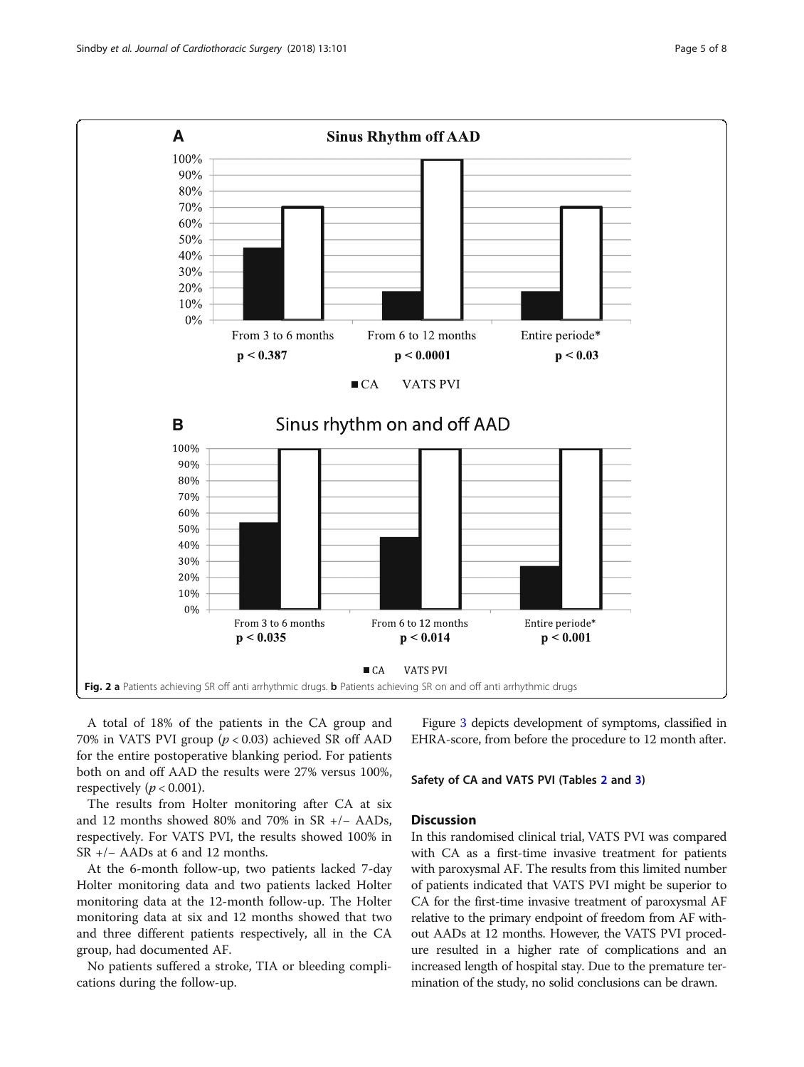<span id="page-5-0"></span>

A total of 18% of the patients in the CA group and 70% in VATS PVI group ( $p < 0.03$ ) achieved SR off AAD for the entire postoperative blanking period. For patients both on and off AAD the results were 27% versus 100%, respectively ( $p < 0.001$ ).

The results from Holter monitoring after CA at six and 12 months showed 80% and 70% in SR +/− AADs, respectively. For VATS PVI, the results showed 100% in SR +/− AADs at 6 and 12 months.

At the 6-month follow-up, two patients lacked 7-day Holter monitoring data and two patients lacked Holter monitoring data at the 12-month follow-up. The Holter monitoring data at six and 12 months showed that two and three different patients respectively, all in the CA group, had documented AF.

No patients suffered a stroke, TIA or bleeding complications during the follow-up.

Figure [3](#page-6-0) depicts development of symptoms, classified in EHRA-score, from before the procedure to 12 month after.

# Safety of CA and VATS PVI (Tables [2](#page-6-0) and [3\)](#page-6-0)

# **Discussion**

In this randomised clinical trial, VATS PVI was compared with CA as a first-time invasive treatment for patients with paroxysmal AF. The results from this limited number of patients indicated that VATS PVI might be superior to CA for the first-time invasive treatment of paroxysmal AF relative to the primary endpoint of freedom from AF without AADs at 12 months. However, the VATS PVI procedure resulted in a higher rate of complications and an increased length of hospital stay. Due to the premature termination of the study, no solid conclusions can be drawn.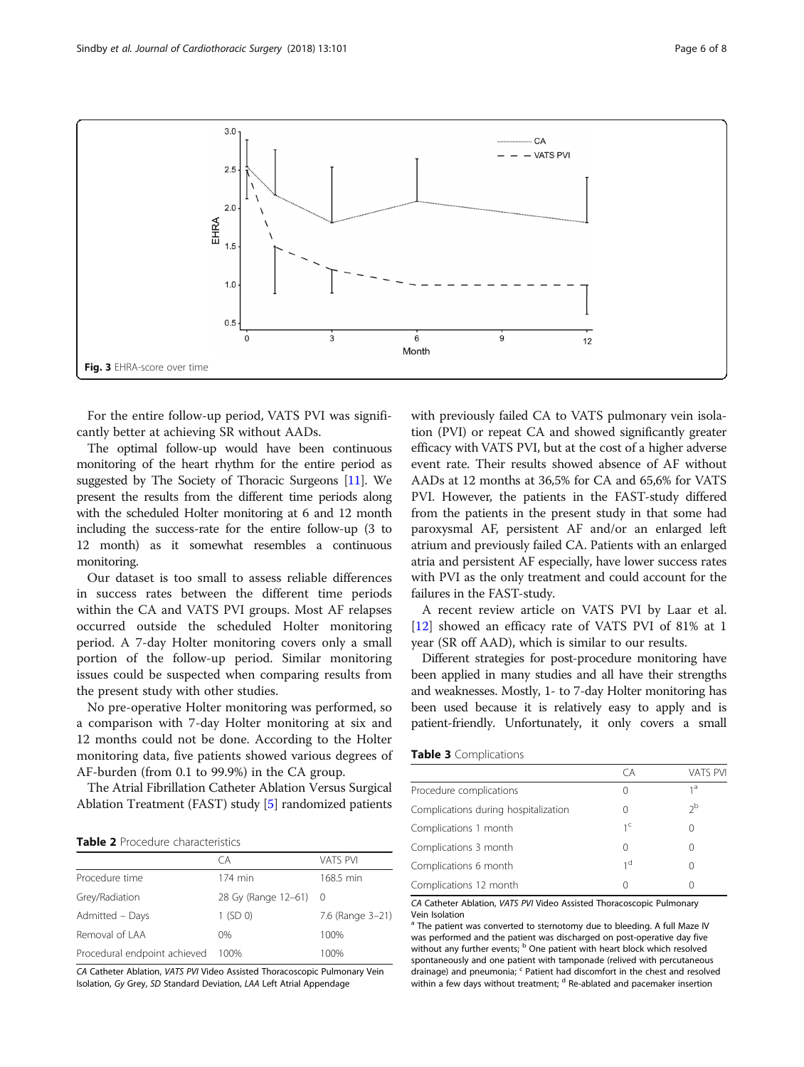<span id="page-6-0"></span>

For the entire follow-up period, VATS PVI was significantly better at achieving SR without AADs.

The optimal follow-up would have been continuous monitoring of the heart rhythm for the entire period as suggested by The Society of Thoracic Surgeons [[11](#page-8-0)]. We present the results from the different time periods along with the scheduled Holter monitoring at 6 and 12 month including the success-rate for the entire follow-up (3 to 12 month) as it somewhat resembles a continuous monitoring.

Our dataset is too small to assess reliable differences in success rates between the different time periods within the CA and VATS PVI groups. Most AF relapses occurred outside the scheduled Holter monitoring period. A 7-day Holter monitoring covers only a small portion of the follow-up period. Similar monitoring issues could be suspected when comparing results from the present study with other studies.

No pre-operative Holter monitoring was performed, so a comparison with 7-day Holter monitoring at six and 12 months could not be done. According to the Holter monitoring data, five patients showed various degrees of AF-burden (from 0.1 to 99.9%) in the CA group.

The Atrial Fibrillation Catheter Ablation Versus Surgical Ablation Treatment (FAST) study [\[5](#page-8-0)] randomized patients

Table 2 Procedure characteristics

|                              | CА                    | <b>VATS PVI</b>  |
|------------------------------|-----------------------|------------------|
| Procedure time               | $174 \text{ min}$     | 168.5 min        |
| Grey/Radiation               | 28 Gy (Range 12-61) 0 |                  |
| Admitted - Days              | $1$ (SD $0$ )         | 7.6 (Range 3-21) |
| Removal of LAA               | $0\%$                 | 100%             |
| Procedural endpoint achieved | 100%                  | 100%             |

CA Catheter Ablation, VATS PVI Video Assisted Thoracoscopic Pulmonary Vein Isolation, Gy Grey, SD Standard Deviation, LAA Left Atrial Appendage

with previously failed CA to VATS pulmonary vein isolation (PVI) or repeat CA and showed significantly greater efficacy with VATS PVI, but at the cost of a higher adverse event rate. Their results showed absence of AF without AADs at 12 months at 36,5% for CA and 65,6% for VATS PVI. However, the patients in the FAST-study differed from the patients in the present study in that some had paroxysmal AF, persistent AF and/or an enlarged left atrium and previously failed CA. Patients with an enlarged atria and persistent AF especially, have lower success rates with PVI as the only treatment and could account for the failures in the FAST-study.

A recent review article on VATS PVI by Laar et al. [[12\]](#page-8-0) showed an efficacy rate of VATS PVI of 81% at 1 year (SR off AAD), which is similar to our results.

Different strategies for post-procedure monitoring have been applied in many studies and all have their strengths and weaknesses. Mostly, 1- to 7-day Holter monitoring has been used because it is relatively easy to apply and is patient-friendly. Unfortunately, it only covers a small

|  |  | <b>Table 3</b> Complications |
|--|--|------------------------------|
|--|--|------------------------------|

|                                      | CА               | VATS PVI         |
|--------------------------------------|------------------|------------------|
| Procedure complications              | 0                | 1 <sup>d</sup>   |
| Complications during hospitalization | 0                | αþ               |
| Complications 1 month                | $1^{\mathsf{c}}$ | $\left( \right)$ |
| Complications 3 month                | 0                | $\bigcirc$       |
| Complications 6 month                | 1d               | $\left( \right)$ |
| Complications 12 month               | 0                | $\left( \right)$ |

CA Catheter Ablation, VATS PVI Video Assisted Thoracoscopic Pulmonary Vein Isolation

<sup>a</sup> The patient was converted to sternotomy due to bleeding. A full Maze IV was performed and the patient was discharged on post-operative day five without any further events; <sup>b</sup> One patient with heart block which resolved spontaneously and one patient with tamponade (relived with percutaneous drainage) and pneumonia; <sup>c</sup> Patient had discomfort in the chest and resolved within a few days without treatment; <sup>d</sup> Re-ablated and pacemaker insertion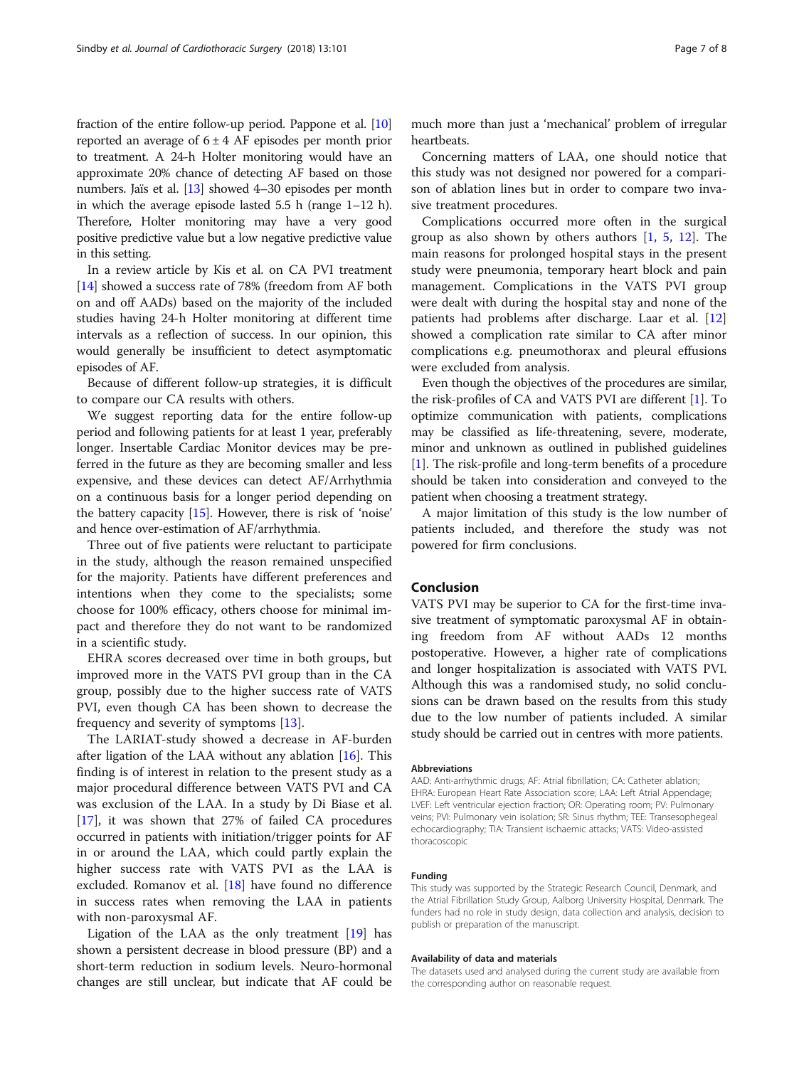fraction of the entire follow-up period. Pappone et al. [[10](#page-8-0)] reported an average of  $6 \pm 4$  AF episodes per month prior to treatment. A 24-h Holter monitoring would have an approximate 20% chance of detecting AF based on those numbers. Jaïs et al. [\[13](#page-8-0)] showed 4–30 episodes per month in which the average episode lasted 5.5 h (range 1–12 h). Therefore, Holter monitoring may have a very good positive predictive value but a low negative predictive value in this setting.

In a review article by Kis et al. on CA PVI treatment [[14](#page-8-0)] showed a success rate of 78% (freedom from AF both on and off AADs) based on the majority of the included studies having 24-h Holter monitoring at different time intervals as a reflection of success. In our opinion, this would generally be insufficient to detect asymptomatic episodes of AF.

Because of different follow-up strategies, it is difficult to compare our CA results with others.

We suggest reporting data for the entire follow-up period and following patients for at least 1 year, preferably longer. Insertable Cardiac Monitor devices may be preferred in the future as they are becoming smaller and less expensive, and these devices can detect AF/Arrhythmia on a continuous basis for a longer period depending on the battery capacity [[15](#page-8-0)]. However, there is risk of 'noise' and hence over-estimation of AF/arrhythmia.

Three out of five patients were reluctant to participate in the study, although the reason remained unspecified for the majority. Patients have different preferences and intentions when they come to the specialists; some choose for 100% efficacy, others choose for minimal impact and therefore they do not want to be randomized in a scientific study.

EHRA scores decreased over time in both groups, but improved more in the VATS PVI group than in the CA group, possibly due to the higher success rate of VATS PVI, even though CA has been shown to decrease the frequency and severity of symptoms [\[13](#page-8-0)].

The LARIAT-study showed a decrease in AF-burden after ligation of the LAA without any ablation [[16\]](#page-8-0). This finding is of interest in relation to the present study as a major procedural difference between VATS PVI and CA was exclusion of the LAA. In a study by Di Biase et al. [[17\]](#page-8-0), it was shown that 27% of failed CA procedures occurred in patients with initiation/trigger points for AF in or around the LAA, which could partly explain the higher success rate with VATS PVI as the LAA is excluded. Romanov et al. [[18\]](#page-8-0) have found no difference in success rates when removing the LAA in patients with non-paroxysmal AF.

Ligation of the LAA as the only treatment [\[19\]](#page-8-0) has shown a persistent decrease in blood pressure (BP) and a short-term reduction in sodium levels. Neuro-hormonal changes are still unclear, but indicate that AF could be

much more than just a 'mechanical' problem of irregular heartbeats.

Concerning matters of LAA, one should notice that this study was not designed nor powered for a comparison of ablation lines but in order to compare two invasive treatment procedures.

Complications occurred more often in the surgical group as also shown by others authors [[1,](#page-8-0) [5](#page-8-0), [12\]](#page-8-0). The main reasons for prolonged hospital stays in the present study were pneumonia, temporary heart block and pain management. Complications in the VATS PVI group were dealt with during the hospital stay and none of the patients had problems after discharge. Laar et al. [[12](#page-8-0)] showed a complication rate similar to CA after minor complications e.g. pneumothorax and pleural effusions were excluded from analysis.

Even though the objectives of the procedures are similar, the risk-profiles of CA and VATS PVI are different [\[1](#page-8-0)]. To optimize communication with patients, complications may be classified as life-threatening, severe, moderate, minor and unknown as outlined in published guidelines [[1\]](#page-8-0). The risk-profile and long-term benefits of a procedure should be taken into consideration and conveyed to the patient when choosing a treatment strategy.

A major limitation of this study is the low number of patients included, and therefore the study was not powered for firm conclusions.

# Conclusion

VATS PVI may be superior to CA for the first-time invasive treatment of symptomatic paroxysmal AF in obtaining freedom from AF without AADs 12 months postoperative. However, a higher rate of complications and longer hospitalization is associated with VATS PVI. Although this was a randomised study, no solid conclusions can be drawn based on the results from this study due to the low number of patients included. A similar study should be carried out in centres with more patients.

#### Abbreviations

AAD: Anti-arrhythmic drugs; AF: Atrial fibrillation; CA: Catheter ablation; EHRA: European Heart Rate Association score; LAA: Left Atrial Appendage; LVEF: Left ventricular ejection fraction; OR: Operating room; PV: Pulmonary veins; PVI: Pulmonary vein isolation; SR: Sinus rhythm; TEE: Transesophegeal echocardiography; TIA: Transient ischaemic attacks; VATS: Video-assisted thoracoscopic

#### Funding

This study was supported by the Strategic Research Council, Denmark, and the Atrial Fibrillation Study Group, Aalborg University Hospital, Denmark. The funders had no role in study design, data collection and analysis, decision to publish or preparation of the manuscript.

#### Availability of data and materials

The datasets used and analysed during the current study are available from the corresponding author on reasonable request.